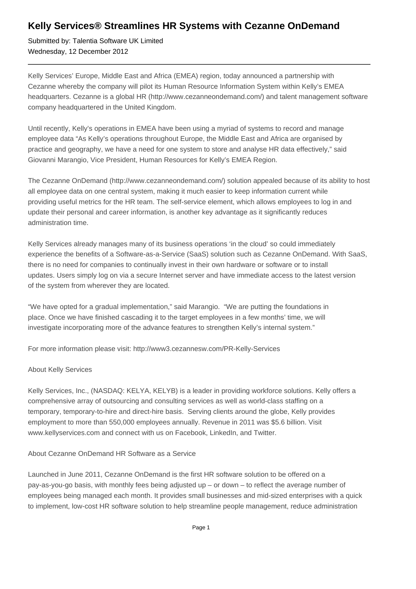## **Kelly Services® Streamlines HR Systems with Cezanne OnDemand**

Submitted by: Talentia Software UK Limited Wednesday, 12 December 2012

Kelly Services' Europe, Middle East and Africa (EMEA) region, today announced a partnership with Cezanne whereby the company will pilot its Human Resource Information System within Kelly's EMEA headquarters. Cezanne is a global HR (http://www.cezanneondemand.com/) and talent management software company headquartered in the United Kingdom.

Until recently, Kelly's operations in EMEA have been using a myriad of systems to record and manage employee data "As Kelly's operations throughout Europe, the Middle East and Africa are organised by practice and geography, we have a need for one system to store and analyse HR data effectively," said Giovanni Marangio, Vice President, Human Resources for Kelly's EMEA Region.

The Cezanne OnDemand (http://www.cezanneondemand.com/) solution appealed because of its ability to host all employee data on one central system, making it much easier to keep information current while providing useful metrics for the HR team. The self-service element, which allows employees to log in and update their personal and career information, is another key advantage as it significantly reduces administration time.

Kelly Services already manages many of its business operations 'in the cloud' so could immediately experience the benefits of a Software-as-a-Service (SaaS) solution such as Cezanne OnDemand. With SaaS, there is no need for companies to continually invest in their own hardware or software or to install updates. Users simply log on via a secure Internet server and have immediate access to the latest version of the system from wherever they are located.

"We have opted for a gradual implementation," said Marangio. "We are putting the foundations in place. Once we have finished cascading it to the target employees in a few months' time, we will investigate incorporating more of the advance features to strengthen Kelly's internal system."

For more information please visit: http://www3.cezannesw.com/PR-Kelly-Services

## About Kelly Services

Kelly Services, Inc., (NASDAQ: KELYA, KELYB) is a leader in providing workforce solutions. Kelly offers a comprehensive array of outsourcing and consulting services as well as world-class staffing on a temporary, temporary-to-hire and direct-hire basis. Serving clients around the globe, Kelly provides employment to more than 550,000 employees annually. Revenue in 2011 was \$5.6 billion. Visit www.kellyservices.com and connect with us on Facebook, LinkedIn, and Twitter.

## About Cezanne OnDemand HR Software as a Service

Launched in June 2011, Cezanne OnDemand is the first HR software solution to be offered on a pay-as-you-go basis, with monthly fees being adjusted up – or down – to reflect the average number of employees being managed each month. It provides small businesses and mid-sized enterprises with a quick to implement, low-cost HR software solution to help streamline people management, reduce administration